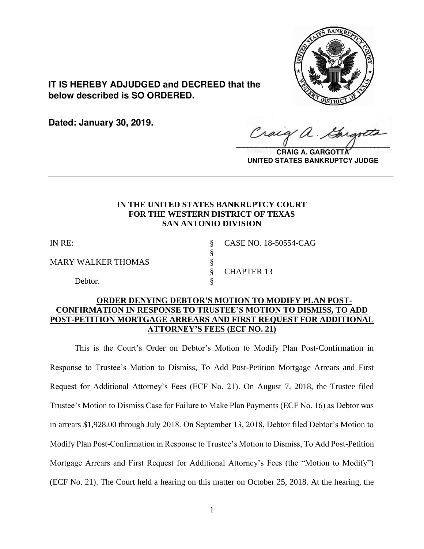

**IT IS HEREBY ADJUDGED and DECREED that the below described is SO ORDERED.**

**Dated: January 30, 2019.**

Craig  $\sqrt{2}$ 

**CRAIG A. GARGOTTA UNITED STATES BANKRUPTCY JUDGE**

# **IN THE UNITED STATES BANKRUPTCY COURT FOR THE WESTERN DISTRICT OF TEXAS SAN ANTONIO DIVISION**

**\_\_\_\_\_\_\_\_\_\_\_\_\_\_\_\_\_\_\_\_\_\_\_\_\_\_\_\_\_\_\_\_\_\_\_\_\_\_\_\_\_\_\_\_\_\_\_\_\_\_\_\_\_\_\_\_\_\_\_\_\_\_\_\_**

§

MARY WALKER THOMAS  $\S$ 

Debtor.

IN RE: § CASE NO. 18-50554-CAG § CHAPTER 13

# **ORDER DENYING DEBTOR'S MOTION TO MODIFY PLAN POST-CONFIRMATION IN RESPONSE TO TRUSTEE'S MOTION TO DISMISS, TO ADD POST-PETITION MORTGAGE ARREARS AND FIRST REQUEST FOR ADDITIONAL ATTORNEY'S FEES (ECF NO. 21)**

This is the Court's Order on Debtor's Motion to Modify Plan Post-Confirmation in Response to Trustee's Motion to Dismiss, To Add Post-Petition Mortgage Arrears and First Request for Additional Attorney's Fees (ECF No. 21). On August 7, 2018, the Trustee filed Trustee's Motion to Dismiss Case for Failure to Make Plan Payments (ECF No. 16) as Debtor was in arrears \$1,928.00 through July 2018. On September 13, 2018, Debtor filed Debtor's Motion to Modify Plan Post-Confirmation in Response to Trustee's Motion to Dismiss, To Add Post-Petition Mortgage Arrears and First Request for Additional Attorney's Fees (the "Motion to Modify") (ECF No. 21). The Court held a hearing on this matter on October 25, 2018. At the hearing, the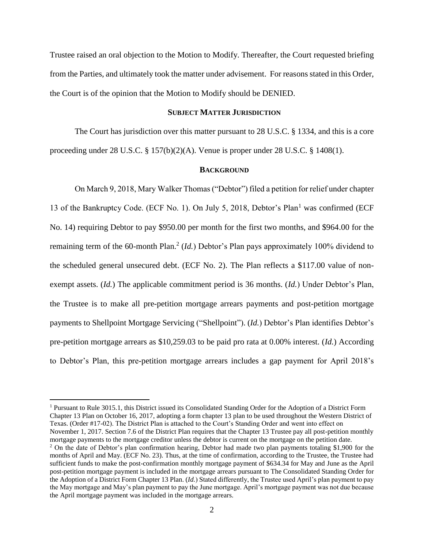Trustee raised an oral objection to the Motion to Modify. Thereafter, the Court requested briefing from the Parties, and ultimately took the matter under advisement. For reasons stated in this Order, the Court is of the opinion that the Motion to Modify should be DENIED.

### **SUBJECT MATTER JURISDICTION**

The Court has jurisdiction over this matter pursuant to 28 U.S.C. § 1334, and this is a core proceeding under 28 U.S.C. § 157(b)(2)(A). Venue is proper under 28 U.S.C. § 1408(1).

#### **BACKGROUND**

On March 9, 2018, Mary Walker Thomas ("Debtor") filed a petition for relief under chapter 13 of the Bankruptcy Code. (ECF No. 1). On July 5, 2018, Debtor's Plan<sup>1</sup> was confirmed (ECF No. 14) requiring Debtor to pay \$950.00 per month for the first two months, and \$964.00 for the remaining term of the 60-month Plan.<sup>2</sup> (*Id*.) Debtor's Plan pays approximately 100% dividend to the scheduled general unsecured debt. (ECF No. 2). The Plan reflects a \$117.00 value of nonexempt assets. (*Id.*) The applicable commitment period is 36 months. (*Id.*) Under Debtor's Plan, the Trustee is to make all pre-petition mortgage arrears payments and post-petition mortgage payments to Shellpoint Mortgage Servicing ("Shellpoint"). (*Id.*) Debtor's Plan identifies Debtor's pre-petition mortgage arrears as \$10,259.03 to be paid pro rata at 0.00% interest. (*Id.*) According to Debtor's Plan, this pre-petition mortgage arrears includes a gap payment for April 2018's

<sup>1</sup> Pursuant to Rule 3015.1, this District issued its Consolidated Standing Order for the Adoption of a District Form Chapter 13 Plan on October 16, 2017, adopting a form chapter 13 plan to be used throughout the Western District of Texas. (Order #17-02). The District Plan is attached to the Court's Standing Order and went into effect on November 1, 2017. Section 7.6 of the District Plan requires that the Chapter 13 Trustee pay all post-petition monthly mortgage payments to the mortgage creditor unless the debtor is current on the mortgage on the petition date.  $2$  On the date of Debtor's plan confirmation hearing, Debtor had made two plan payments totaling \$1,900 for the months of April and May. (ECF No. 23). Thus, at the time of confirmation, according to the Trustee, the Trustee had sufficient funds to make the post-confirmation monthly mortgage payment of \$634.34 for May and June as the April post-petition mortgage payment is included in the mortgage arrears pursuant to The Consolidated Standing Order for

the Adoption of a District Form Chapter 13 Plan. (*Id.*) Stated differently, the Trustee used April's plan payment to pay the May mortgage and May's plan payment to pay the June mortgage. April's mortgage payment was not due because the April mortgage payment was included in the mortgage arrears.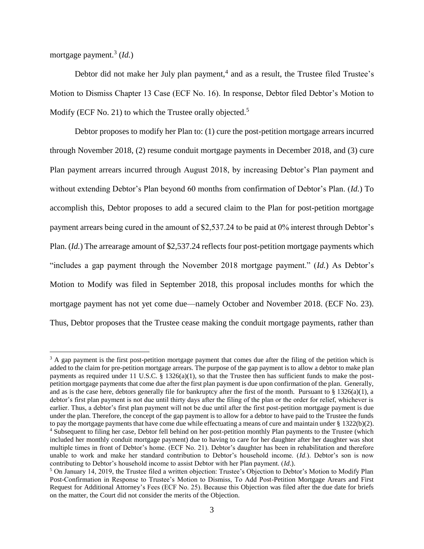mortgage payment.<sup>3</sup> (*Id.*)

 $\overline{a}$ 

Debtor did not make her July plan payment, $4$  and as a result, the Trustee filed Trustee's Motion to Dismiss Chapter 13 Case (ECF No. 16). In response, Debtor filed Debtor's Motion to Modify (ECF No. 21) to which the Trustee orally objected.<sup>5</sup>

Debtor proposes to modify her Plan to: (1) cure the post-petition mortgage arrears incurred through November 2018, (2) resume conduit mortgage payments in December 2018, and (3) cure Plan payment arrears incurred through August 2018, by increasing Debtor's Plan payment and without extending Debtor's Plan beyond 60 months from confirmation of Debtor's Plan. (*Id.*) To accomplish this, Debtor proposes to add a secured claim to the Plan for post-petition mortgage payment arrears being cured in the amount of \$2,537.24 to be paid at 0% interest through Debtor's Plan. (*Id.*) The arrearage amount of \$2,537.24 reflects four post-petition mortgage payments which "includes a gap payment through the November 2018 mortgage payment." (*Id.*) As Debtor's Motion to Modify was filed in September 2018, this proposal includes months for which the mortgage payment has not yet come due—namely October and November 2018. (ECF No. 23). Thus, Debtor proposes that the Trustee cease making the conduit mortgage payments, rather than

<sup>&</sup>lt;sup>3</sup> A gap payment is the first post-petition mortgage payment that comes due after the filing of the petition which is added to the claim for pre-petition mortgage arrears. The purpose of the gap payment is to allow a debtor to make plan payments as required under 11 U.S.C. § 1326(a)(1), so that the Trustee then has sufficient funds to make the postpetition mortgage payments that come due after the first plan payment is due upon confirmation of the plan. Generally, and as is the case here, debtors generally file for bankruptcy after the first of the month. Pursuant to  $\S$  1326(a)(1), a debtor's first plan payment is not due until thirty days after the filing of the plan or the order for relief, whichever is earlier. Thus, a debtor's first plan payment will not be due until after the first post-petition mortgage payment is due under the plan. Therefore, the concept of the gap payment is to allow for a debtor to have paid to the Trustee the funds to pay the mortgage payments that have come due while effectuating a means of cure and maintain under § 1322(b)(2). <sup>4</sup> Subsequent to filing her case, Debtor fell behind on her post-petition monthly Plan payments to the Trustee (which included her monthly conduit mortgage payment) due to having to care for her daughter after her daughter was shot multiple times in front of Debtor's home. (ECF No. 21). Debtor's daughter has been in rehabilitation and therefore unable to work and make her standard contribution to Debtor's household income. (*Id*.). Debtor's son is now contributing to Debtor's household income to assist Debtor with her Plan payment. (*Id*.).

<sup>5</sup> On January 14, 2019, the Trustee filed a written objection: Trustee's Objection to Debtor's Motion to Modify Plan Post-Confirmation in Response to Trustee's Motion to Dismiss, To Add Post-Petition Mortgage Arears and First Request for Additional Attorney's Fees (ECF No. 25). Because this Objection was filed after the due date for briefs on the matter, the Court did not consider the merits of the Objection.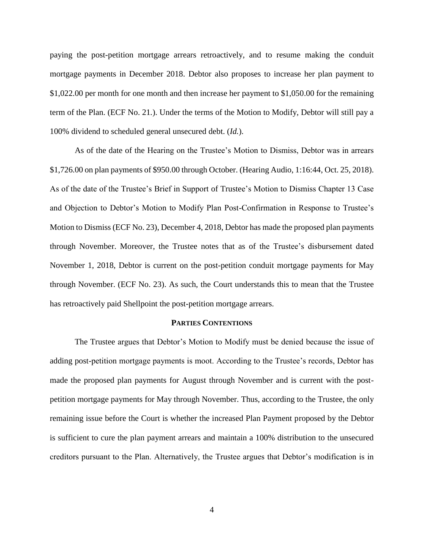paying the post-petition mortgage arrears retroactively, and to resume making the conduit mortgage payments in December 2018. Debtor also proposes to increase her plan payment to \$1,022.00 per month for one month and then increase her payment to \$1,050.00 for the remaining term of the Plan. (ECF No. 21*.*). Under the terms of the Motion to Modify, Debtor will still pay a 100% dividend to scheduled general unsecured debt. (*Id.*).

As of the date of the Hearing on the Trustee's Motion to Dismiss, Debtor was in arrears \$1,726.00 on plan payments of \$950.00 through October. (Hearing Audio, 1:16:44, Oct. 25, 2018). As of the date of the Trustee's Brief in Support of Trustee's Motion to Dismiss Chapter 13 Case and Objection to Debtor's Motion to Modify Plan Post-Confirmation in Response to Trustee's Motion to Dismiss (ECF No. 23), December 4, 2018, Debtor has made the proposed plan payments through November. Moreover, the Trustee notes that as of the Trustee's disbursement dated November 1, 2018, Debtor is current on the post-petition conduit mortgage payments for May through November. (ECF No. 23). As such, the Court understands this to mean that the Trustee has retroactively paid Shellpoint the post-petition mortgage arrears.

### **PARTIES CONTENTIONS**

The Trustee argues that Debtor's Motion to Modify must be denied because the issue of adding post-petition mortgage payments is moot. According to the Trustee's records, Debtor has made the proposed plan payments for August through November and is current with the postpetition mortgage payments for May through November. Thus, according to the Trustee, the only remaining issue before the Court is whether the increased Plan Payment proposed by the Debtor is sufficient to cure the plan payment arrears and maintain a 100% distribution to the unsecured creditors pursuant to the Plan. Alternatively, the Trustee argues that Debtor's modification is in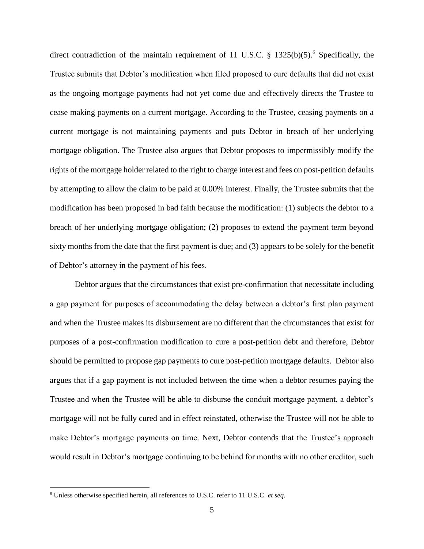direct contradiction of the maintain requirement of 11 U.S.C.  $\S$  1325(b)(5).<sup>6</sup> Specifically, the Trustee submits that Debtor's modification when filed proposed to cure defaults that did not exist as the ongoing mortgage payments had not yet come due and effectively directs the Trustee to cease making payments on a current mortgage. According to the Trustee, ceasing payments on a current mortgage is not maintaining payments and puts Debtor in breach of her underlying mortgage obligation. The Trustee also argues that Debtor proposes to impermissibly modify the rights of the mortgage holder related to the right to charge interest and fees on post-petition defaults by attempting to allow the claim to be paid at 0.00% interest. Finally, the Trustee submits that the modification has been proposed in bad faith because the modification: (1) subjects the debtor to a breach of her underlying mortgage obligation; (2) proposes to extend the payment term beyond sixty months from the date that the first payment is due; and (3) appears to be solely for the benefit of Debtor's attorney in the payment of his fees.

Debtor argues that the circumstances that exist pre-confirmation that necessitate including a gap payment for purposes of accommodating the delay between a debtor's first plan payment and when the Trustee makes its disbursement are no different than the circumstances that exist for purposes of a post-confirmation modification to cure a post-petition debt and therefore, Debtor should be permitted to propose gap payments to cure post-petition mortgage defaults. Debtor also argues that if a gap payment is not included between the time when a debtor resumes paying the Trustee and when the Trustee will be able to disburse the conduit mortgage payment, a debtor's mortgage will not be fully cured and in effect reinstated, otherwise the Trustee will not be able to make Debtor's mortgage payments on time. Next, Debtor contends that the Trustee's approach would result in Debtor's mortgage continuing to be behind for months with no other creditor, such

<sup>6</sup> Unless otherwise specified herein, all references to U.S.C. refer to 11 U.S.C. *et seq.*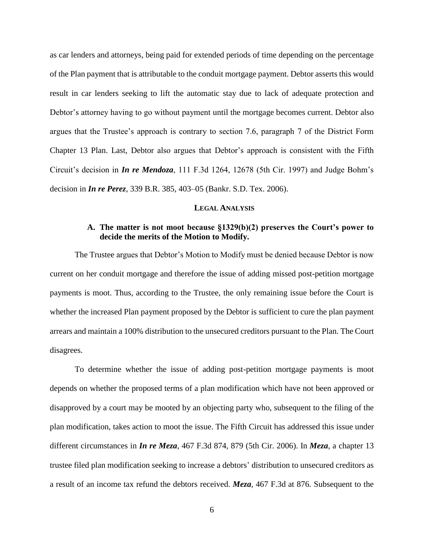as car lenders and attorneys, being paid for extended periods of time depending on the percentage of the Plan payment that is attributable to the conduit mortgage payment. Debtor asserts this would result in car lenders seeking to lift the automatic stay due to lack of adequate protection and Debtor's attorney having to go without payment until the mortgage becomes current. Debtor also argues that the Trustee's approach is contrary to section 7.6, paragraph 7 of the District Form Chapter 13 Plan. Last, Debtor also argues that Debtor's approach is consistent with the Fifth Circuit's decision in *In re Mendoza*, 111 F.3d 1264, 12678 (5th Cir. 1997) and Judge Bohm's decision in *In re Perez*, 339 B.R. 385, 403–05 (Bankr. S.D. Tex. 2006).

### **LEGAL ANALYSIS**

# **A. The matter is not moot because §1329(b)(2) preserves the Court's power to decide the merits of the Motion to Modify.**

The Trustee argues that Debtor's Motion to Modify must be denied because Debtor is now current on her conduit mortgage and therefore the issue of adding missed post-petition mortgage payments is moot. Thus, according to the Trustee, the only remaining issue before the Court is whether the increased Plan payment proposed by the Debtor is sufficient to cure the plan payment arrears and maintain a 100% distribution to the unsecured creditors pursuant to the Plan. The Court disagrees.

To determine whether the issue of adding post-petition mortgage payments is moot depends on whether the proposed terms of a plan modification which have not been approved or disapproved by a court may be mooted by an objecting party who, subsequent to the filing of the plan modification, takes action to moot the issue. The Fifth Circuit has addressed this issue under different circumstances in *In re Meza*, 467 F.3d 874, 879 (5th Cir. 2006). In *Meza*, a chapter 13 trustee filed plan modification seeking to increase a debtors' distribution to unsecured creditors as a result of an income tax refund the debtors received. *Meza*, 467 F.3d at 876. Subsequent to the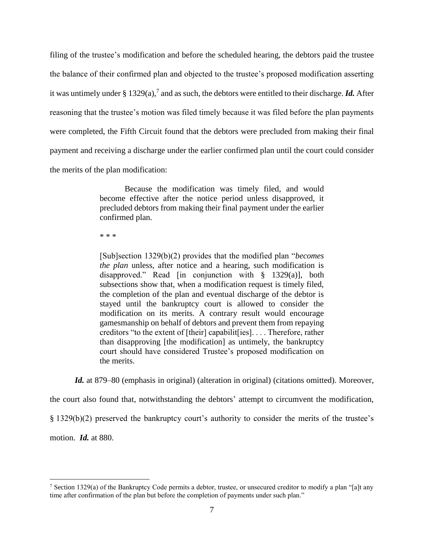filing of the trustee's modification and before the scheduled hearing, the debtors paid the trustee the balance of their confirmed plan and objected to the trustee's proposed modification asserting it was untimely under  $\S 1329(a)$ , and as such, the debtors were entitled to their discharge. *Id*. After reasoning that the trustee's motion was filed timely because it was filed before the plan payments were completed, the Fifth Circuit found that the debtors were precluded from making their final payment and receiving a discharge under the earlier confirmed plan until the court could consider the merits of the plan modification:

> Because the modification was timely filed, and would become effective after the notice period unless disapproved, it precluded debtors from making their final payment under the earlier confirmed plan.

\* \* \*

[Sub]section 1329(b)(2) provides that the modified plan "*becomes the plan* unless, after notice and a hearing, such modification is disapproved." Read [in conjunction with § 1329(a)], both subsections show that, when a modification request is timely filed, the completion of the plan and eventual discharge of the debtor is stayed until the bankruptcy court is allowed to consider the modification on its merits. A contrary result would encourage gamesmanship on behalf of debtors and prevent them from repaying creditors "to the extent of [their] capabilit[ies]. . . . Therefore, rather than disapproving [the modification] as untimely, the bankruptcy court should have considered Trustee's proposed modification on the merits.

*Id.* at 879–80 (emphasis in original) (alteration in original) (citations omitted). Moreover,

the court also found that, notwithstanding the debtors' attempt to circumvent the modification,

§ 1329(b)(2) preserved the bankruptcy court's authority to consider the merits of the trustee's

motion. *Id.* at 880.

<sup>&</sup>lt;sup>7</sup> Section 1329(a) of the Bankruptcy Code permits a debtor, trustee, or unsecured creditor to modify a plan "[a]t any time after confirmation of the plan but before the completion of payments under such plan."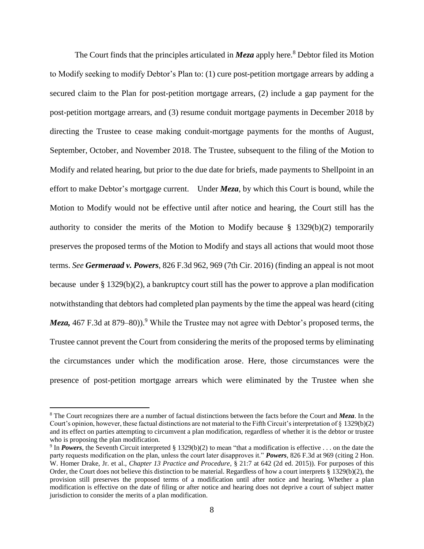The Court finds that the principles articulated in  $Meza$  apply here.<sup>8</sup> Debtor filed its Motion to Modify seeking to modify Debtor's Plan to: (1) cure post-petition mortgage arrears by adding a secured claim to the Plan for post-petition mortgage arrears, (2) include a gap payment for the post-petition mortgage arrears, and (3) resume conduit mortgage payments in December 2018 by directing the Trustee to cease making conduit-mortgage payments for the months of August, September, October, and November 2018. The Trustee, subsequent to the filing of the Motion to Modify and related hearing, but prior to the due date for briefs, made payments to Shellpoint in an effort to make Debtor's mortgage current. Under *Meza*, by which this Court is bound, while the Motion to Modify would not be effective until after notice and hearing, the Court still has the authority to consider the merits of the Motion to Modify because § 1329(b)(2) temporarily preserves the proposed terms of the Motion to Modify and stays all actions that would moot those terms. *See Germeraad v. Powers*, 826 F.3d 962, 969 (7th Cir. 2016) (finding an appeal is not moot because under § 1329(b)(2), a bankruptcy court still has the power to approve a plan modification notwithstanding that debtors had completed plan payments by the time the appeal was heard (citing *Meza*, 467 F.3d at 879–80)).<sup>9</sup> While the Trustee may not agree with Debtor's proposed terms, the Trustee cannot prevent the Court from considering the merits of the proposed terms by eliminating the circumstances under which the modification arose. Here, those circumstances were the presence of post-petition mortgage arrears which were eliminated by the Trustee when she

<sup>8</sup> The Court recognizes there are a number of factual distinctions between the facts before the Court and *Meza*. In the Court's opinion, however, these factual distinctions are not material to the Fifth Circuit's interpretation of  $\S$  1329(b)(2) and its effect on parties attempting to circumvent a plan modification, regardless of whether it is the debtor or trustee who is proposing the plan modification.

<sup>&</sup>lt;sup>9</sup> In *Powers*, the Seventh Circuit interpreted § 1329(b)(2) to mean "that a modification is effective ... on the date the party requests modification on the plan, unless the court later disapproves it." *Powers*, 826 F.3d at 969 (citing 2 Hon. W. Homer Drake, Jr. et al., *Chapter 13 Practice and Procedure*, § 21:7 at 642 (2d ed. 2015)). For purposes of this Order, the Court does not believe this distinction to be material. Regardless of how a court interprets  $\S 1329(b)(2)$ , the provision still preserves the proposed terms of a modification until after notice and hearing. Whether a plan modification is effective on the date of filing or after notice and hearing does not deprive a court of subject matter jurisdiction to consider the merits of a plan modification.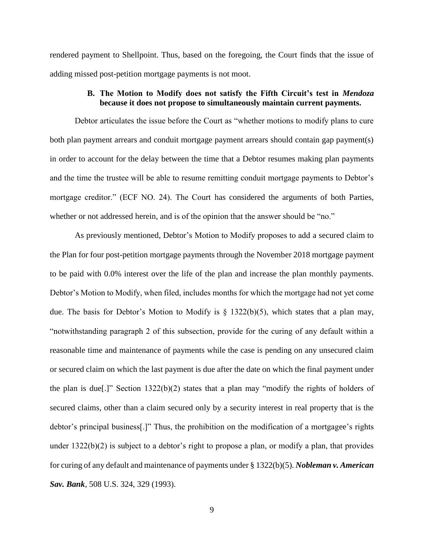rendered payment to Shellpoint. Thus, based on the foregoing, the Court finds that the issue of adding missed post-petition mortgage payments is not moot.

# **B. The Motion to Modify does not satisfy the Fifth Circuit's test in** *Mendoza*  **because it does not propose to simultaneously maintain current payments.**

Debtor articulates the issue before the Court as "whether motions to modify plans to cure both plan payment arrears and conduit mortgage payment arrears should contain gap payment(s) in order to account for the delay between the time that a Debtor resumes making plan payments and the time the trustee will be able to resume remitting conduit mortgage payments to Debtor's mortgage creditor." (ECF NO. 24). The Court has considered the arguments of both Parties, whether or not addressed herein, and is of the opinion that the answer should be "no."

As previously mentioned, Debtor's Motion to Modify proposes to add a secured claim to the Plan for four post-petition mortgage payments through the November 2018 mortgage payment to be paid with 0.0% interest over the life of the plan and increase the plan monthly payments. Debtor's Motion to Modify, when filed, includes months for which the mortgage had not yet come due. The basis for Debtor's Motion to Modify is § 1322(b)(5), which states that a plan may, "notwithstanding paragraph 2 of this subsection, provide for the curing of any default within a reasonable time and maintenance of payments while the case is pending on any unsecured claim or secured claim on which the last payment is due after the date on which the final payment under the plan is due[.]" Section 1322(b)(2) states that a plan may "modify the rights of holders of secured claims, other than a claim secured only by a security interest in real property that is the debtor's principal business[.]" Thus, the prohibition on the modification of a mortgagee's rights under 1322(b)(2) is subject to a debtor's right to propose a plan, or modify a plan, that provides for curing of any default and maintenance of payments under § 1322(b)(5). *Nobleman v. American Sav. Bank*, 508 U.S. 324, 329 (1993).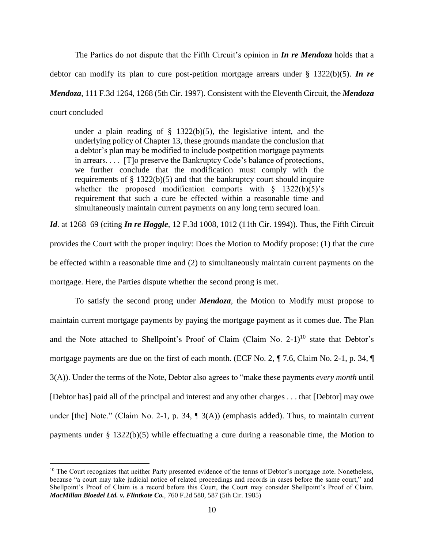The Parties do not dispute that the Fifth Circuit's opinion in *In re Mendoza* holds that a debtor can modify its plan to cure post-petition mortgage arrears under § 1322(b)(5). *In re Mendoza*, 111 F.3d 1264, 1268 (5th Cir. 1997). Consistent with the Eleventh Circuit, the *Mendoza*  court concluded

under a plain reading of  $\S$  1322(b)(5), the legislative intent, and the underlying policy of Chapter 13, these grounds mandate the conclusion that a debtor's plan may be modified to include postpetition mortgage payments in arrears. . . . [T]o preserve the Bankruptcy Code's balance of protections, we further conclude that the modification must comply with the requirements of  $\S 1322(b)(5)$  and that the bankruptcy court should inquire whether the proposed modification comports with  $\S$  1322(b)(5)'s requirement that such a cure be effected within a reasonable time and simultaneously maintain current payments on any long term secured loan.

*Id*. at 1268–69 (citing *In re Hoggle*, 12 F.3d 1008, 1012 (11th Cir. 1994)). Thus, the Fifth Circuit provides the Court with the proper inquiry: Does the Motion to Modify propose: (1) that the cure be effected within a reasonable time and (2) to simultaneously maintain current payments on the mortgage. Here, the Parties dispute whether the second prong is met.

To satisfy the second prong under *Mendoza*, the Motion to Modify must propose to maintain current mortgage payments by paying the mortgage payment as it comes due. The Plan and the Note attached to Shellpoint's Proof of Claim (Claim No.  $2-1$ )<sup>10</sup> state that Debtor's mortgage payments are due on the first of each month. (ECF No. 2, ¶ 7.6, Claim No. 2-1, p. 34, ¶ 3(A)). Under the terms of the Note, Debtor also agrees to "make these payments *every month* until [Debtor has] paid all of the principal and interest and any other charges . . . that [Debtor] may owe under [the] Note." (Claim No. 2-1, p. 34, ¶ 3(A)) (emphasis added). Thus, to maintain current payments under § 1322(b)(5) while effectuating a cure during a reasonable time, the Motion to

<sup>&</sup>lt;sup>10</sup> The Court recognizes that neither Party presented evidence of the terms of Debtor's mortgage note. Nonetheless, because "a court may take judicial notice of related proceedings and records in cases before the same court," and Shellpoint's Proof of Claim is a record before this Court, the Court may consider Shellpoint's Proof of Claim. *MacMillan Bloedel Ltd. v. Flintkote Co.*, 760 F.2d 580, 587 (5th Cir. 1985)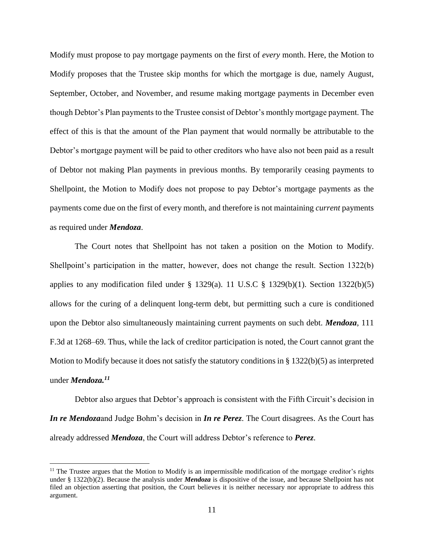Modify must propose to pay mortgage payments on the first of *every* month. Here, the Motion to Modify proposes that the Trustee skip months for which the mortgage is due, namely August, September, October, and November, and resume making mortgage payments in December even though Debtor's Plan payments to the Trustee consist of Debtor's monthly mortgage payment. The effect of this is that the amount of the Plan payment that would normally be attributable to the Debtor's mortgage payment will be paid to other creditors who have also not been paid as a result of Debtor not making Plan payments in previous months. By temporarily ceasing payments to Shellpoint, the Motion to Modify does not propose to pay Debtor's mortgage payments as the payments come due on the first of every month, and therefore is not maintaining *current* payments as required under *Mendoza*.

The Court notes that Shellpoint has not taken a position on the Motion to Modify. Shellpoint's participation in the matter, however, does not change the result. Section 1322(b) applies to any modification filed under  $\S$  1329(a). 11 U.S.C  $\S$  1329(b)(1). Section 1322(b)(5) allows for the curing of a delinquent long-term debt, but permitting such a cure is conditioned upon the Debtor also simultaneously maintaining current payments on such debt. *Mendoza*, 111 F.3d at 1268–69. Thus, while the lack of creditor participation is noted, the Court cannot grant the Motion to Modify because it does not satisfy the statutory conditions in § 1322(b)(5) as interpreted under *Mendoza.<sup>11</sup>*

Debtor also argues that Debtor's approach is consistent with the Fifth Circuit's decision in *In re Mendoza*and Judge Bohm's decision in *In re Perez*. The Court disagrees. As the Court has already addressed *Mendoza*, the Court will address Debtor's reference to *Perez*.

<sup>&</sup>lt;sup>11</sup> The Trustee argues that the Motion to Modify is an impermissible modification of the mortgage creditor's rights under § 1322(b)(2). Because the analysis under *Mendoza* is dispositive of the issue, and because Shellpoint has not filed an objection asserting that position, the Court believes it is neither necessary nor appropriate to address this argument.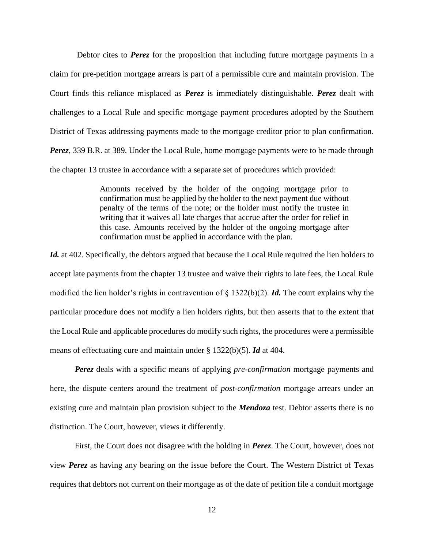Debtor cites to **Perez** for the proposition that including future mortgage payments in a claim for pre-petition mortgage arrears is part of a permissible cure and maintain provision. The Court finds this reliance misplaced as *Perez* is immediately distinguishable. *Perez* dealt with challenges to a Local Rule and specific mortgage payment procedures adopted by the Southern District of Texas addressing payments made to the mortgage creditor prior to plan confirmation. *Perez*, 339 B.R. at 389. Under the Local Rule, home mortgage payments were to be made through the chapter 13 trustee in accordance with a separate set of procedures which provided:

> Amounts received by the holder of the ongoing mortgage prior to confirmation must be applied by the holder to the next payment due without penalty of the terms of the note; or the holder must notify the trustee in writing that it waives all late charges that accrue after the order for relief in this case. Amounts received by the holder of the ongoing mortgage after confirmation must be applied in accordance with the plan.

Id. at 402. Specifically, the debtors argued that because the Local Rule required the lien holders to accept late payments from the chapter 13 trustee and waive their rights to late fees, the Local Rule modified the lien holder's rights in contravention of § 1322(b)(2). *Id.* The court explains why the particular procedure does not modify a lien holders rights, but then asserts that to the extent that the Local Rule and applicable procedures do modify such rights, the procedures were a permissible means of effectuating cure and maintain under § 1322(b)(5). *Id* at 404.

*Perez* deals with a specific means of applying *pre-confirmation* mortgage payments and here, the dispute centers around the treatment of *post-confirmation* mortgage arrears under an existing cure and maintain plan provision subject to the *Mendoza* test. Debtor asserts there is no distinction. The Court, however, views it differently.

First, the Court does not disagree with the holding in *Perez*. The Court, however, does not view *Perez* as having any bearing on the issue before the Court. The Western District of Texas requires that debtors not current on their mortgage as of the date of petition file a conduit mortgage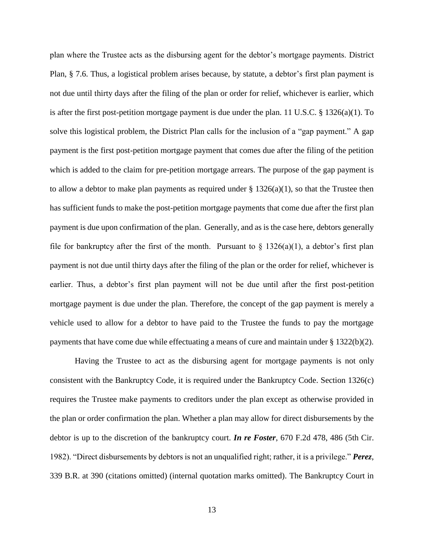plan where the Trustee acts as the disbursing agent for the debtor's mortgage payments. District Plan, § 7.6. Thus, a logistical problem arises because, by statute, a debtor's first plan payment is not due until thirty days after the filing of the plan or order for relief, whichever is earlier, which is after the first post-petition mortgage payment is due under the plan. 11 U.S.C. § 1326(a)(1). To solve this logistical problem, the District Plan calls for the inclusion of a "gap payment." A gap payment is the first post-petition mortgage payment that comes due after the filing of the petition which is added to the claim for pre-petition mortgage arrears. The purpose of the gap payment is to allow a debtor to make plan payments as required under  $\S$  1326(a)(1), so that the Trustee then has sufficient funds to make the post-petition mortgage payments that come due after the first plan payment is due upon confirmation of the plan. Generally, and as is the case here, debtors generally file for bankruptcy after the first of the month. Pursuant to  $\S$  1326(a)(1), a debtor's first plan payment is not due until thirty days after the filing of the plan or the order for relief, whichever is earlier. Thus, a debtor's first plan payment will not be due until after the first post-petition mortgage payment is due under the plan. Therefore, the concept of the gap payment is merely a vehicle used to allow for a debtor to have paid to the Trustee the funds to pay the mortgage payments that have come due while effectuating a means of cure and maintain under § 1322(b)(2).

Having the Trustee to act as the disbursing agent for mortgage payments is not only consistent with the Bankruptcy Code, it is required under the Bankruptcy Code. Section 1326(c) requires the Trustee make payments to creditors under the plan except as otherwise provided in the plan or order confirmation the plan. Whether a plan may allow for direct disbursements by the debtor is up to the discretion of the bankruptcy court. *In re Foster*, 670 F.2d 478, 486 (5th Cir. 1982). "Direct disbursements by debtors is not an unqualified right; rather, it is a privilege." *Perez*, 339 B.R. at 390 (citations omitted) (internal quotation marks omitted). The Bankruptcy Court in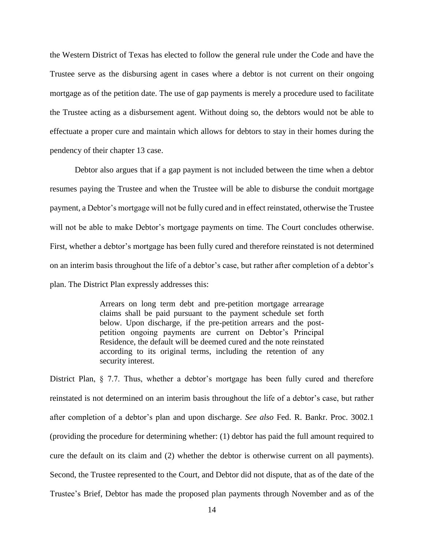the Western District of Texas has elected to follow the general rule under the Code and have the Trustee serve as the disbursing agent in cases where a debtor is not current on their ongoing mortgage as of the petition date. The use of gap payments is merely a procedure used to facilitate the Trustee acting as a disbursement agent. Without doing so, the debtors would not be able to effectuate a proper cure and maintain which allows for debtors to stay in their homes during the pendency of their chapter 13 case.

Debtor also argues that if a gap payment is not included between the time when a debtor resumes paying the Trustee and when the Trustee will be able to disburse the conduit mortgage payment, a Debtor's mortgage will not be fully cured and in effect reinstated, otherwise the Trustee will not be able to make Debtor's mortgage payments on time. The Court concludes otherwise. First, whether a debtor's mortgage has been fully cured and therefore reinstated is not determined on an interim basis throughout the life of a debtor's case, but rather after completion of a debtor's plan. The District Plan expressly addresses this:

> Arrears on long term debt and pre-petition mortgage arrearage claims shall be paid pursuant to the payment schedule set forth below. Upon discharge, if the pre-petition arrears and the postpetition ongoing payments are current on Debtor's Principal Residence, the default will be deemed cured and the note reinstated according to its original terms, including the retention of any security interest.

District Plan, § 7.7. Thus, whether a debtor's mortgage has been fully cured and therefore reinstated is not determined on an interim basis throughout the life of a debtor's case, but rather after completion of a debtor's plan and upon discharge. *See also* Fed. R. Bankr. Proc. 3002.1 (providing the procedure for determining whether: (1) debtor has paid the full amount required to cure the default on its claim and (2) whether the debtor is otherwise current on all payments). Second, the Trustee represented to the Court, and Debtor did not dispute, that as of the date of the Trustee's Brief, Debtor has made the proposed plan payments through November and as of the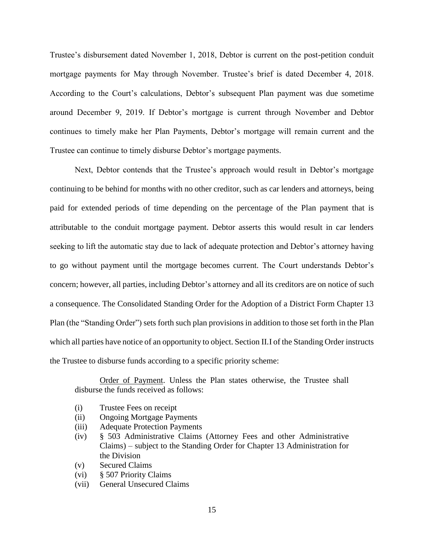Trustee's disbursement dated November 1, 2018, Debtor is current on the post-petition conduit mortgage payments for May through November. Trustee's brief is dated December 4, 2018. According to the Court's calculations, Debtor's subsequent Plan payment was due sometime around December 9, 2019. If Debtor's mortgage is current through November and Debtor continues to timely make her Plan Payments, Debtor's mortgage will remain current and the Trustee can continue to timely disburse Debtor's mortgage payments.

Next, Debtor contends that the Trustee's approach would result in Debtor's mortgage continuing to be behind for months with no other creditor, such as car lenders and attorneys, being paid for extended periods of time depending on the percentage of the Plan payment that is attributable to the conduit mortgage payment. Debtor asserts this would result in car lenders seeking to lift the automatic stay due to lack of adequate protection and Debtor's attorney having to go without payment until the mortgage becomes current. The Court understands Debtor's concern; however, all parties, including Debtor's attorney and all its creditors are on notice of such a consequence. The Consolidated Standing Order for the Adoption of a District Form Chapter 13 Plan (the "Standing Order") sets forth such plan provisions in addition to those set forth in the Plan which all parties have notice of an opportunity to object. Section II.I of the Standing Order instructs the Trustee to disburse funds according to a specific priority scheme:

Order of Payment. Unless the Plan states otherwise, the Trustee shall disburse the funds received as follows:

- (i) Trustee Fees on receipt
- (ii) Ongoing Mortgage Payments
- (iii) Adequate Protection Payments
- (iv) § 503 Administrative Claims (Attorney Fees and other Administrative Claims) – subject to the Standing Order for Chapter 13 Administration for the Division
- (v) Secured Claims
- (vi) § 507 Priority Claims
- (vii) General Unsecured Claims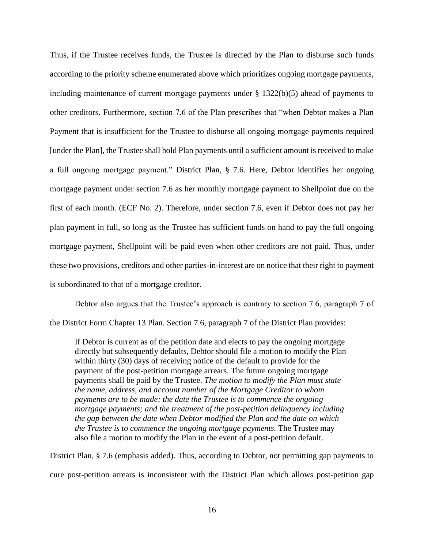Thus, if the Trustee receives funds, the Trustee is directed by the Plan to disburse such funds according to the priority scheme enumerated above which prioritizes ongoing mortgage payments, including maintenance of current mortgage payments under § 1322(b)(5) ahead of payments to other creditors. Furthermore, section 7.6 of the Plan prescribes that "when Debtor makes a Plan Payment that is insufficient for the Trustee to disburse all ongoing mortgage payments required [under the Plan], the Trustee shall hold Plan payments until a sufficient amount is received to make a full ongoing mortgage payment." District Plan, § 7.6. Here, Debtor identifies her ongoing mortgage payment under section 7.6 as her monthly mortgage payment to Shellpoint due on the first of each month. (ECF No. 2). Therefore, under section 7.6, even if Debtor does not pay her plan payment in full, so long as the Trustee has sufficient funds on hand to pay the full ongoing mortgage payment, Shellpoint will be paid even when other creditors are not paid. Thus, under these two provisions, creditors and other parties-in-interest are on notice that their right to payment is subordinated to that of a mortgage creditor.

Debtor also argues that the Trustee's approach is contrary to section 7.6, paragraph 7 of the District Form Chapter 13 Plan. Section 7.6, paragraph 7 of the District Plan provides:

If Debtor is current as of the petition date and elects to pay the ongoing mortgage directly but subsequently defaults, Debtor should file a motion to modify the Plan within thirty (30) days of receiving notice of the default to provide for the payment of the post-petition mortgage arrears. The future ongoing mortgage payments shall be paid by the Trustee. *The motion to modify the Plan must state the name, address, and account number of the Mortgage Creditor to whom payments are to be made; the date the Trustee is to commence the ongoing mortgage payments; and the treatment of the post-petition delinquency including the gap between the date when Debtor modified the Plan and the date on which the Trustee is to commence the ongoing mortgage payments.* The Trustee may also file a motion to modify the Plan in the event of a post-petition default.

District Plan, § 7.6 (emphasis added). Thus, according to Debtor, not permitting gap payments to cure post-petition arrears is inconsistent with the District Plan which allows post-petition gap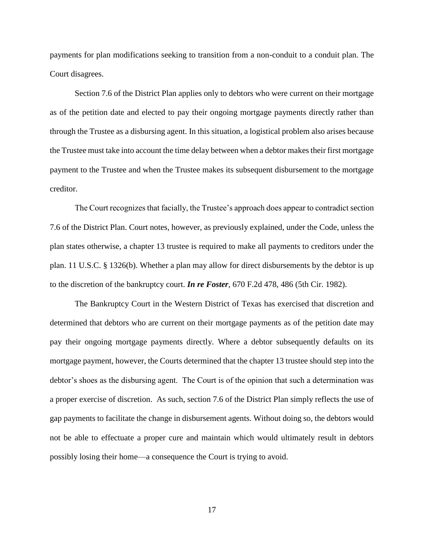payments for plan modifications seeking to transition from a non-conduit to a conduit plan. The Court disagrees.

Section 7.6 of the District Plan applies only to debtors who were current on their mortgage as of the petition date and elected to pay their ongoing mortgage payments directly rather than through the Trustee as a disbursing agent. In this situation, a logistical problem also arises because the Trustee must take into account the time delay between when a debtor makes their first mortgage payment to the Trustee and when the Trustee makes its subsequent disbursement to the mortgage creditor.

The Court recognizes that facially, the Trustee's approach does appear to contradict section 7.6 of the District Plan. Court notes, however, as previously explained, under the Code, unless the plan states otherwise, a chapter 13 trustee is required to make all payments to creditors under the plan. 11 U.S.C. § 1326(b). Whether a plan may allow for direct disbursements by the debtor is up to the discretion of the bankruptcy court. *In re Foster*, 670 F.2d 478, 486 (5th Cir. 1982).

The Bankruptcy Court in the Western District of Texas has exercised that discretion and determined that debtors who are current on their mortgage payments as of the petition date may pay their ongoing mortgage payments directly. Where a debtor subsequently defaults on its mortgage payment, however, the Courts determined that the chapter 13 trustee should step into the debtor's shoes as the disbursing agent. The Court is of the opinion that such a determination was a proper exercise of discretion. As such, section 7.6 of the District Plan simply reflects the use of gap payments to facilitate the change in disbursement agents. Without doing so, the debtors would not be able to effectuate a proper cure and maintain which would ultimately result in debtors possibly losing their home—a consequence the Court is trying to avoid.